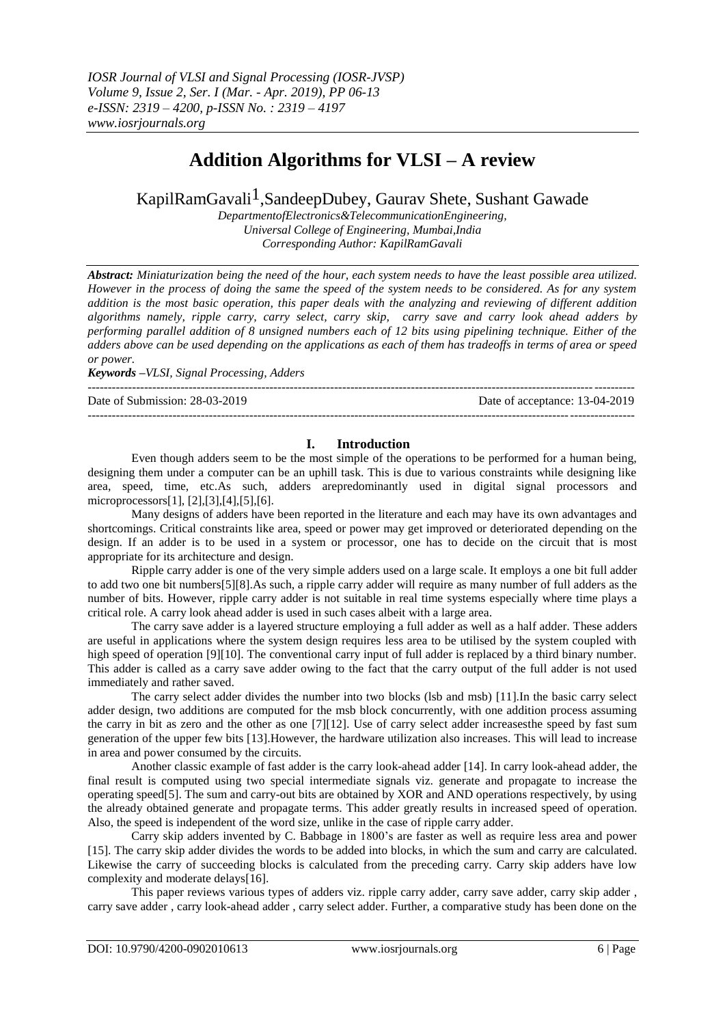# **Addition Algorithms for VLSI – A review**

# KapilRamGavali<sup>1</sup>,SandeepDubey, Gauray Shete, Sushant Gawade

*DepartmentofElectronics&TelecommunicationEngineering, Universal College of Engineering, Mumbai,India Corresponding Author: KapilRamGavali*

*Abstract: Miniaturization being the need of the hour, each system needs to have the least possible area utilized. However in the process of doing the same the speed of the system needs to be considered. As for any system addition is the most basic operation, this paper deals with the analyzing and reviewing of different addition algorithms namely, ripple carry, carry select, carry skip, carry save and carry look ahead adders by performing parallel addition of 8 unsigned numbers each of 12 bits using pipelining technique. Either of the adders above can be used depending on the applications as each of them has tradeoffs in terms of area or speed or power.*

*Keywords –VLSI, Signal Processing, Adders*

Date of Submission: 28-03-2019 Date of acceptance: 13-04-2019

#### ---------------------------------------------------------------------------------------------------------------------------------------

---------------------------------------------------------------------------------------------------------------------------------------

### **I. Introduction**

Even though adders seem to be the most simple of the operations to be performed for a human being, designing them under a computer can be an uphill task. This is due to various constraints while designing like area, speed, time, etc.As such, adders arepredominantly used in digital signal processors and microprocessors[1], [2],[3],[4],[5],[6].

Many designs of adders have been reported in the literature and each may have its own advantages and shortcomings. Critical constraints like area, speed or power may get improved or deteriorated depending on the design. If an adder is to be used in a system or processor, one has to decide on the circuit that is most appropriate for its architecture and design.

Ripple carry adder is one of the very simple adders used on a large scale. It employs a one bit full adder to add two one bit numbers[5][8].As such, a ripple carry adder will require as many number of full adders as the number of bits. However, ripple carry adder is not suitable in real time systems especially where time plays a critical role. A carry look ahead adder is used in such cases albeit with a large area.

The carry save adder is a layered structure employing a full adder as well as a half adder. These adders are useful in applications where the system design requires less area to be utilised by the system coupled with high speed of operation [9][10]. The conventional carry input of full adder is replaced by a third binary number. This adder is called as a carry save adder owing to the fact that the carry output of the full adder is not used immediately and rather saved.

The carry select adder divides the number into two blocks (lsb and msb) [11].In the basic carry select adder design, two additions are computed for the msb block concurrently, with one addition process assuming the carry in bit as zero and the other as one [7][12]. Use of carry select adder increasesthe speed by fast sum generation of the upper few bits [13].However, the hardware utilization also increases. This will lead to increase in area and power consumed by the circuits.

Another classic example of fast adder is the carry look-ahead adder [14]. In carry look-ahead adder, the final result is computed using two special intermediate signals viz. generate and propagate to increase the operating speed[5]. The sum and carry-out bits are obtained by XOR and AND operations respectively, by using the already obtained generate and propagate terms. This adder greatly results in increased speed of operation. Also, the speed is independent of the word size, unlike in the case of ripple carry adder.

Carry skip adders invented by C. Babbage in 1800's are faster as well as require less area and power [15]. The carry skip adder divides the words to be added into blocks, in which the sum and carry are calculated. Likewise the carry of succeeding blocks is calculated from the preceding carry. Carry skip adders have low complexity and moderate delays[16].

This paper reviews various types of adders viz. ripple carry adder, carry save adder, carry skip adder , carry save adder , carry look-ahead adder , carry select adder. Further, a comparative study has been done on the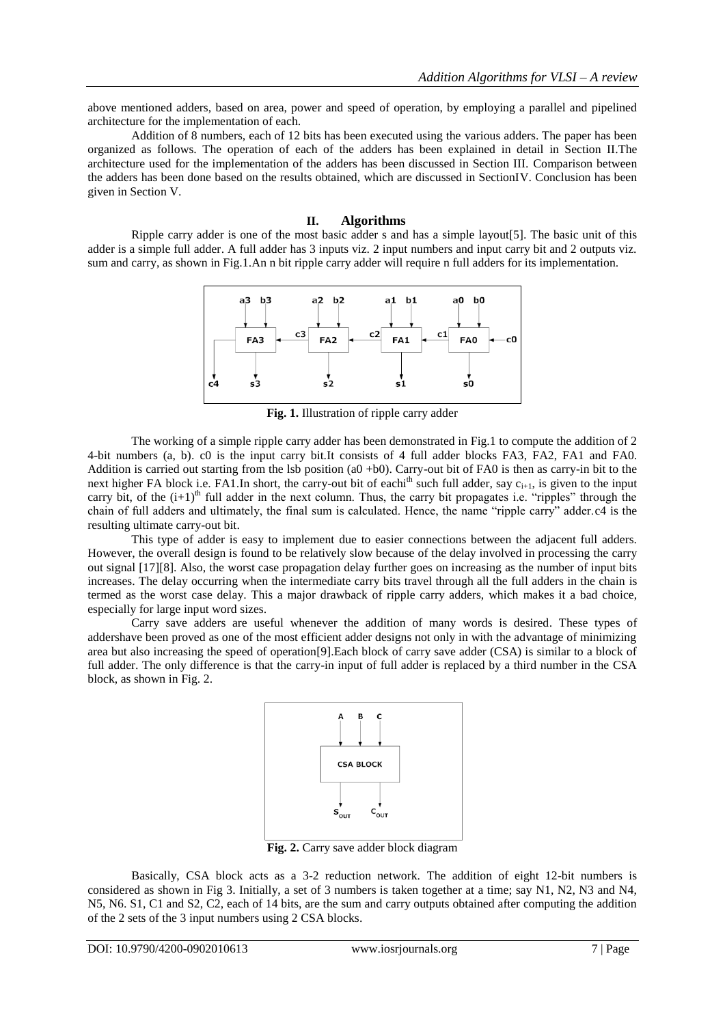above mentioned adders, based on area, power and speed of operation, by employing a parallel and pipelined architecture for the implementation of each.

Addition of 8 numbers, each of 12 bits has been executed using the various adders. The paper has been organized as follows. The operation of each of the adders has been explained in detail in Section II.The architecture used for the implementation of the adders has been discussed in Section III. Comparison between the adders has been done based on the results obtained, which are discussed in SectionIV. Conclusion has been given in Section V.

#### **II. Algorithms**

Ripple carry adder is one of the most basic adder s and has a simple layout[5]. The basic unit of this adder is a simple full adder. A full adder has 3 inputs viz. 2 input numbers and input carry bit and 2 outputs viz. sum and carry, as shown in Fig.1.An n bit ripple carry adder will require n full adders for its implementation.



**Fig. 1.** Illustration of ripple carry adder

The working of a simple ripple carry adder has been demonstrated in Fig.1 to compute the addition of 2 4-bit numbers (a, b). c0 is the input carry bit.It consists of 4 full adder blocks FA3, FA2, FA1 and FA0. Addition is carried out starting from the lsb position (a0 +b0). Carry-out bit of FA0 is then as carry-in bit to the next higher FA block i.e. FA1.In short, the carry-out bit of eachi<sup>th</sup> such full adder, say  $c_{i+1}$ , is given to the input carry bit, of the  $(i+1)^{th}$  full adder in the next column. Thus, the carry bit propagates i.e. "ripples" through the chain of full adders and ultimately, the final sum is calculated. Hence, the name "ripple carry" adder.c4 is the resulting ultimate carry-out bit.

This type of adder is easy to implement due to easier connections between the adjacent full adders. However, the overall design is found to be relatively slow because of the delay involved in processing the carry out signal [17][8]. Also, the worst case propagation delay further goes on increasing as the number of input bits increases. The delay occurring when the intermediate carry bits travel through all the full adders in the chain is termed as the worst case delay. This a major drawback of ripple carry adders, which makes it a bad choice, especially for large input word sizes.

Carry save adders are useful whenever the addition of many words is desired. These types of addershave been proved as one of the most efficient adder designs not only in with the advantage of minimizing area but also increasing the speed of operation[9].Each block of carry save adder (CSA) is similar to a block of full adder. The only difference is that the carry-in input of full adder is replaced by a third number in the CSA block, as shown in Fig. 2.



**Fig. 2.** Carry save adder block diagram

Basically, CSA block acts as a 3-2 reduction network. The addition of eight 12-bit numbers is considered as shown in Fig 3. Initially, a set of 3 numbers is taken together at a time; say N1, N2, N3 and N4, N5, N6. S1, C1 and S2, C2, each of 14 bits, are the sum and carry outputs obtained after computing the addition of the 2 sets of the 3 input numbers using 2 CSA blocks.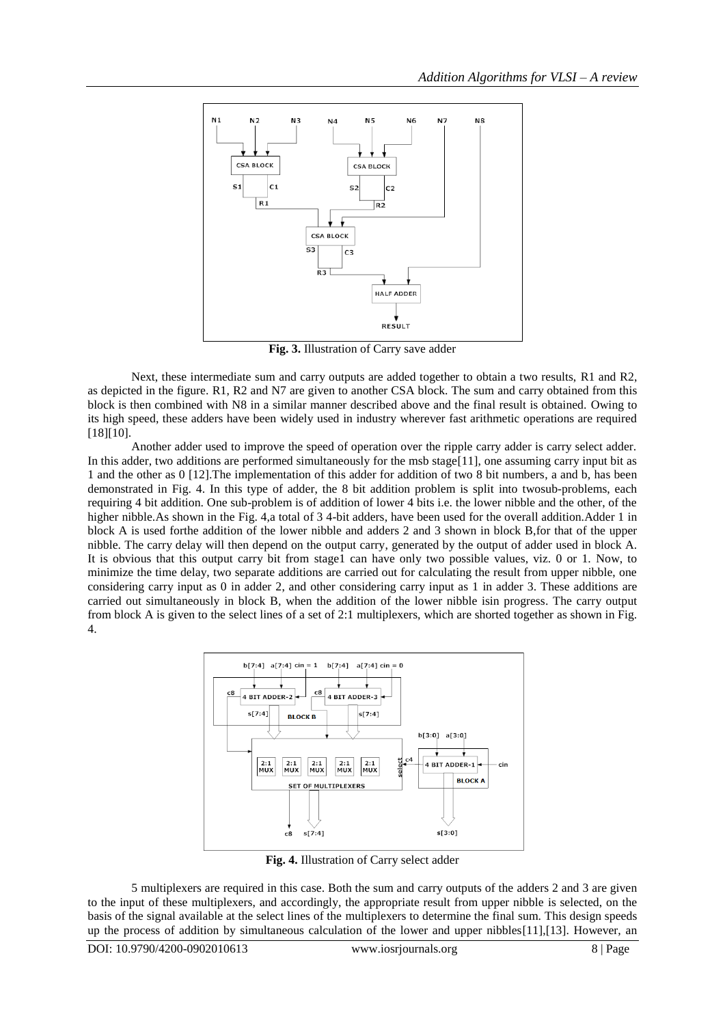

**Fig. 3.** Illustration of Carry save adder

Next, these intermediate sum and carry outputs are added together to obtain a two results, R1 and R2, as depicted in the figure. R1, R2 and N7 are given to another CSA block. The sum and carry obtained from this block is then combined with N8 in a similar manner described above and the final result is obtained. Owing to its high speed, these adders have been widely used in industry wherever fast arithmetic operations are required [18][10].

Another adder used to improve the speed of operation over the ripple carry adder is carry select adder. In this adder, two additions are performed simultaneously for the msb stage[11], one assuming carry input bit as 1 and the other as 0 [12].The implementation of this adder for addition of two 8 bit numbers, a and b, has been demonstrated in Fig. 4. In this type of adder, the 8 bit addition problem is split into twosub-problems, each requiring 4 bit addition. One sub-problem is of addition of lower 4 bits i.e. the lower nibble and the other, of the higher nibble. As shown in the Fig. 4,a total of 3 4-bit adders, have been used for the overall addition. Adder 1 in block A is used forthe addition of the lower nibble and adders 2 and 3 shown in block B,for that of the upper nibble. The carry delay will then depend on the output carry, generated by the output of adder used in block A. It is obvious that this output carry bit from stage1 can have only two possible values, viz. 0 or 1. Now, to minimize the time delay, two separate additions are carried out for calculating the result from upper nibble, one considering carry input as 0 in adder 2, and other considering carry input as 1 in adder 3. These additions are carried out simultaneously in block B, when the addition of the lower nibble isin progress. The carry output from block A is given to the select lines of a set of 2:1 multiplexers, which are shorted together as shown in Fig. 4.



**Fig. 4.** Illustration of Carry select adder

5 multiplexers are required in this case. Both the sum and carry outputs of the adders 2 and 3 are given to the input of these multiplexers, and accordingly, the appropriate result from upper nibble is selected, on the basis of the signal available at the select lines of the multiplexers to determine the final sum. This design speeds up the process of addition by simultaneous calculation of the lower and upper nibbles[11],[13]. However, an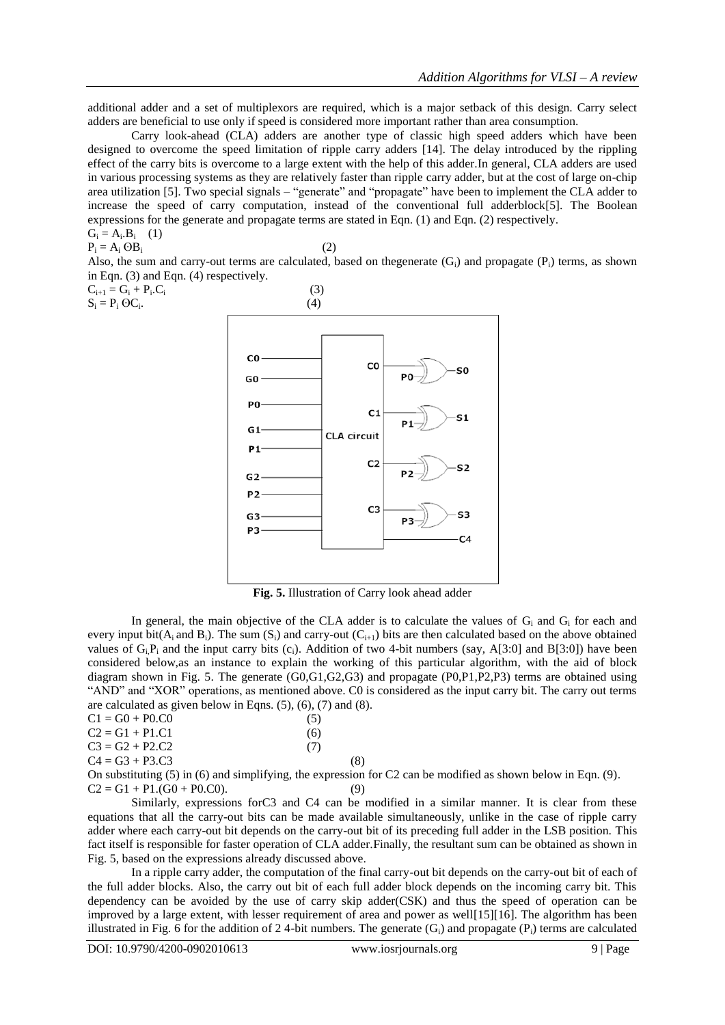additional adder and a set of multiplexors are required, which is a major setback of this design. Carry select adders are beneficial to use only if speed is considered more important rather than area consumption.

Carry look-ahead (CLA) adders are another type of classic high speed adders which have been designed to overcome the speed limitation of ripple carry adders [14]. The delay introduced by the rippling effect of the carry bits is overcome to a large extent with the help of this adder.In general, CLA adders are used in various processing systems as they are relatively faster than ripple carry adder, but at the cost of large on-chip area utilization [5]. Two special signals – "generate" and "propagate" have been to implement the CLA adder to increase the speed of carry computation, instead of the conventional full adderblock[5]. The Boolean expressions for the generate and propagate terms are stated in Eqn. (1) and Eqn. (2) respectively. (1)

$$
G_i = A_i.B_i
$$
  
\n
$$
P_i = A_i OB_i
$$

(2)

Also, the sum and carry-out terms are calculated, based on the generate  $(G_i)$  and propagate  $(P_i)$  terms, as shown in Eqn. (3) and Eqn. (4) respectively.

 $C_{i+1} = G_i + P_i.C_i$  $\mathcal{C}_i$  (3)  $S_i = P_i$   $\Theta C_i$ .



**Fig. 5.** Illustration of Carry look ahead adder

In general, the main objective of the CLA adder is to calculate the values of  $G_i$  and  $G_i$  for each and every input bit( $A_i$  and  $B_i$ ). The sum (S<sub>i</sub>) and carry-out ( $C_{i+1}$ ) bits are then calculated based on the above obtained values of  $G_iP_i$  and the input carry bits (c<sub>i</sub>). Addition of two 4-bit numbers (say, A[3:0] and B[3:0]) have been considered below,as an instance to explain the working of this particular algorithm, with the aid of block diagram shown in Fig. 5. The generate (G0,G1,G2,G3) and propagate (P0,P1,P2,P3) terms are obtained using "AND" and "XOR" operations, as mentioned above. C0 is considered as the input carry bit. The carry out terms are calculated as given below in Eqns.  $(5)$ ,  $(6)$ ,  $(7)$  and  $(8)$ .

| $C1 = G0 + P0.C0$ | (5) |
|-------------------|-----|
| $C2 = G1 + P1.C1$ | (6) |
| $C3 = G2 + P2.C2$ | (7) |
| $C4 = G3 + P3.C3$ | (8) |

On substituting (5) in (6) and simplifying, the expression for C2 can be modified as shown below in Eqn. (9).  $C2 = G1 + P1(G0 + P0(C0))$ . (9)

Similarly, expressions forC3 and C4 can be modified in a similar manner. It is clear from these equations that all the carry-out bits can be made available simultaneously, unlike in the case of ripple carry adder where each carry-out bit depends on the carry-out bit of its preceding full adder in the LSB position. This fact itself is responsible for faster operation of CLA adder.Finally, the resultant sum can be obtained as shown in Fig. 5, based on the expressions already discussed above.

In a ripple carry adder, the computation of the final carry-out bit depends on the carry-out bit of each of the full adder blocks. Also, the carry out bit of each full adder block depends on the incoming carry bit. This dependency can be avoided by the use of carry skip adder(CSK) and thus the speed of operation can be improved by a large extent, with lesser requirement of area and power as well[15][16]. The algorithm has been illustrated in Fig. 6 for the addition of 24-bit numbers. The generate  $(G_i)$  and propagate  $(P_i)$  terms are calculated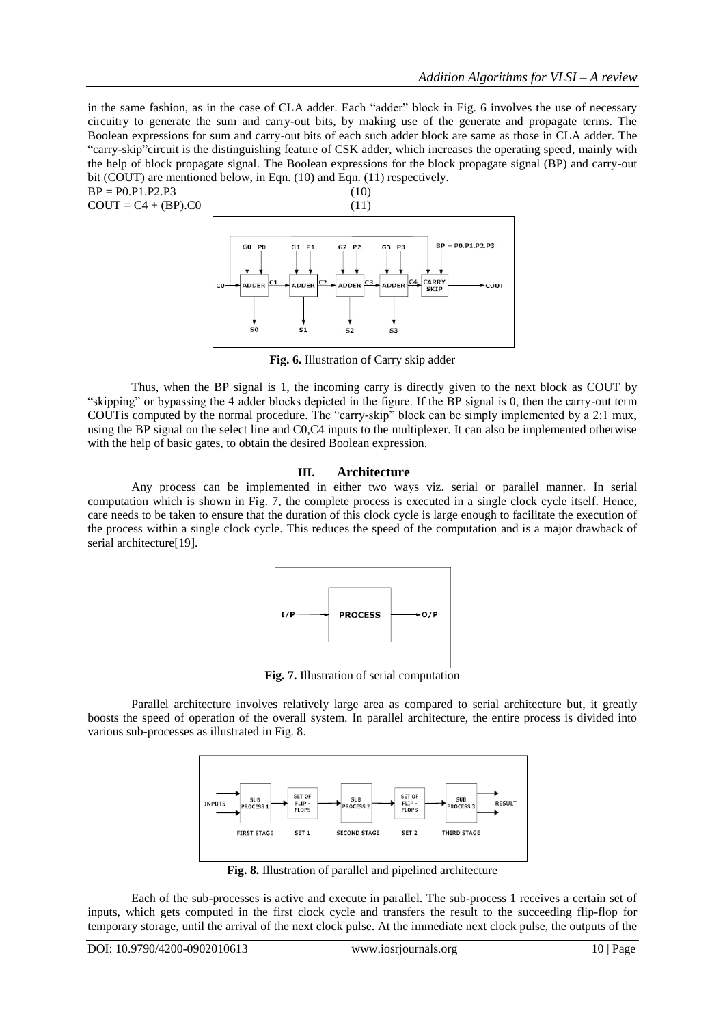in the same fashion, as in the case of CLA adder. Each "adder" block in Fig. 6 involves the use of necessary circuitry to generate the sum and carry-out bits, by making use of the generate and propagate terms. The Boolean expressions for sum and carry-out bits of each such adder block are same as those in CLA adder. The "carry-skip"circuit is the distinguishing feature of CSK adder, which increases the operating speed, mainly with the help of block propagate signal. The Boolean expressions for the block propagate signal (BP) and carry-out bit (COUT) are mentioned below, in Eqn. (10) and Eqn. (11) respectively.  $BP = P0.P1.P2.P3$  (10)



**Fig. 6.** Illustration of Carry skip adder

Thus, when the BP signal is 1, the incoming carry is directly given to the next block as COUT by "skipping" or bypassing the 4 adder blocks depicted in the figure. If the BP signal is 0, then the carry-out term COUTis computed by the normal procedure. The "carry-skip" block can be simply implemented by a 2:1 mux, using the BP signal on the select line and C0,C4 inputs to the multiplexer. It can also be implemented otherwise with the help of basic gates, to obtain the desired Boolean expression.

#### **III. Architecture**

Any process can be implemented in either two ways viz. serial or parallel manner. In serial computation which is shown in Fig. 7, the complete process is executed in a single clock cycle itself. Hence, care needs to be taken to ensure that the duration of this clock cycle is large enough to facilitate the execution of the process within a single clock cycle. This reduces the speed of the computation and is a major drawback of serial architecture<sup>[19]</sup>.



**Fig. 7.** Illustration of serial computation

Parallel architecture involves relatively large area as compared to serial architecture but, it greatly boosts the speed of operation of the overall system. In parallel architecture, the entire process is divided into various sub-processes as illustrated in Fig. 8.



**Fig. 8.** Illustration of parallel and pipelined architecture

Each of the sub-processes is active and execute in parallel. The sub-process 1 receives a certain set of inputs, which gets computed in the first clock cycle and transfers the result to the succeeding flip-flop for temporary storage, until the arrival of the next clock pulse. At the immediate next clock pulse, the outputs of the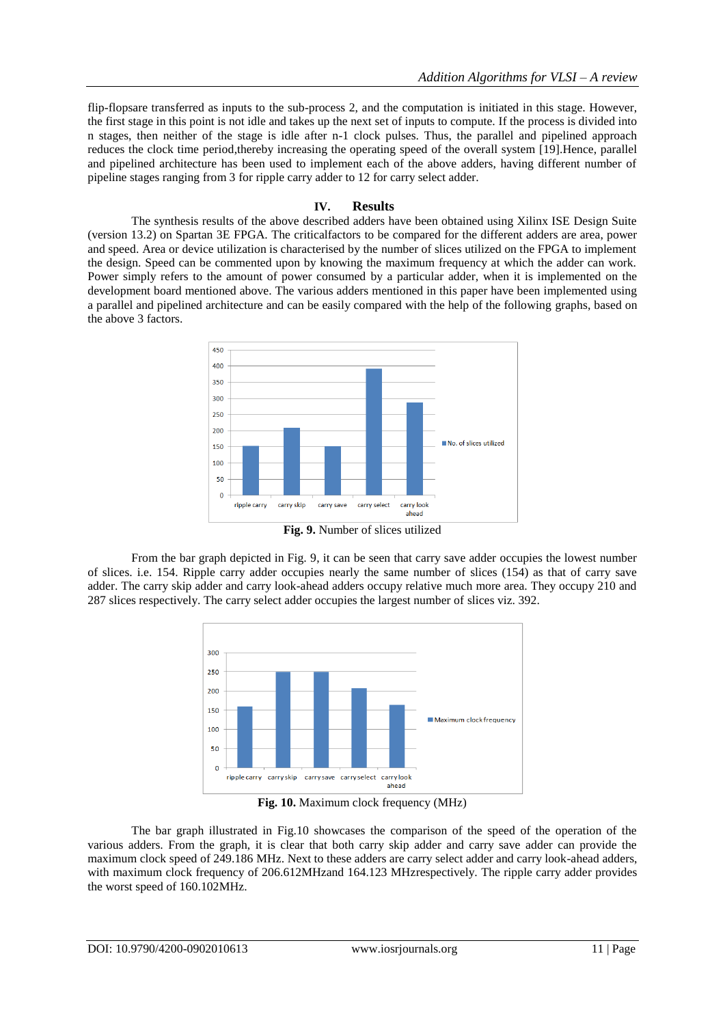flip-flopsare transferred as inputs to the sub-process 2, and the computation is initiated in this stage. However, the first stage in this point is not idle and takes up the next set of inputs to compute. If the process is divided into n stages, then neither of the stage is idle after n-1 clock pulses. Thus, the parallel and pipelined approach reduces the clock time period,thereby increasing the operating speed of the overall system [19].Hence, parallel and pipelined architecture has been used to implement each of the above adders, having different number of pipeline stages ranging from 3 for ripple carry adder to 12 for carry select adder.

## **IV. Results**

The synthesis results of the above described adders have been obtained using Xilinx ISE Design Suite (version 13.2) on Spartan 3E FPGA. The criticalfactors to be compared for the different adders are area, power and speed. Area or device utilization is characterised by the number of slices utilized on the FPGA to implement the design. Speed can be commented upon by knowing the maximum frequency at which the adder can work. Power simply refers to the amount of power consumed by a particular adder, when it is implemented on the development board mentioned above. The various adders mentioned in this paper have been implemented using a parallel and pipelined architecture and can be easily compared with the help of the following graphs, based on the above 3 factors.



**Fig. 9.** Number of slices utilized

From the bar graph depicted in Fig. 9, it can be seen that carry save adder occupies the lowest number of slices. i.e. 154. Ripple carry adder occupies nearly the same number of slices (154) as that of carry save adder. The carry skip adder and carry look-ahead adders occupy relative much more area. They occupy 210 and 287 slices respectively. The carry select adder occupies the largest number of slices viz. 392.



**Fig. 10.** Maximum clock frequency (MHz)

The bar graph illustrated in Fig.10 showcases the comparison of the speed of the operation of the various adders. From the graph, it is clear that both carry skip adder and carry save adder can provide the maximum clock speed of 249.186 MHz. Next to these adders are carry select adder and carry look-ahead adders, with maximum clock frequency of 206.612MHzand 164.123 MHzrespectively. The ripple carry adder provides the worst speed of 160.102MHz.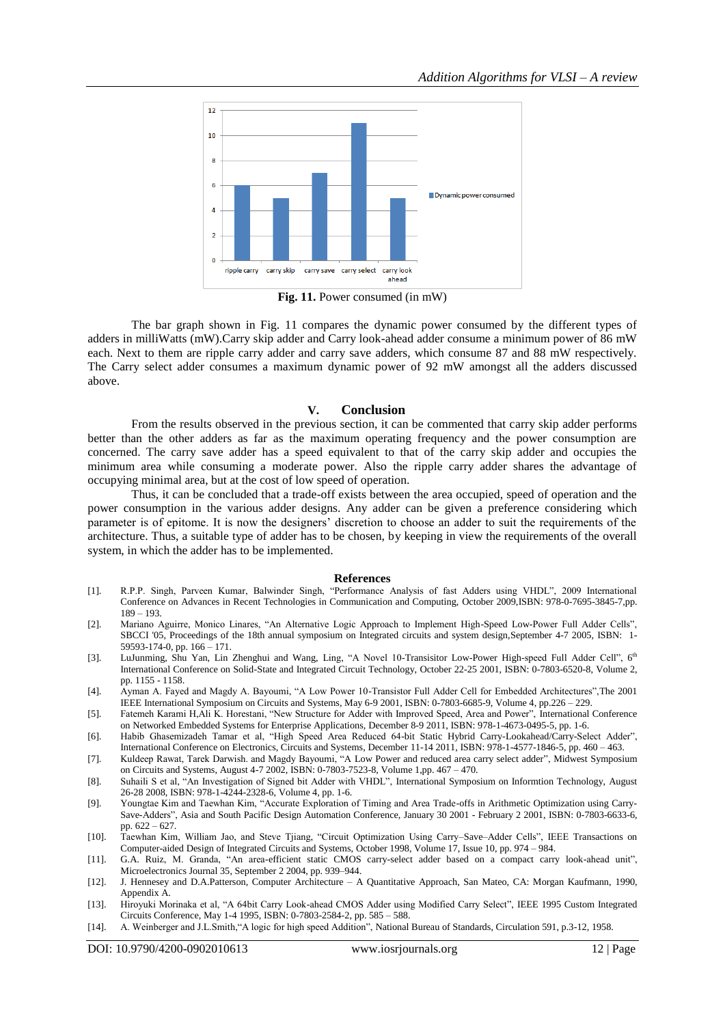

**Fig. 11.** Power consumed (in mW)

The bar graph shown in Fig. 11 compares the dynamic power consumed by the different types of adders in milliWatts (mW).Carry skip adder and Carry look-ahead adder consume a minimum power of 86 mW each. Next to them are ripple carry adder and carry save adders, which consume 87 and 88 mW respectively. The Carry select adder consumes a maximum dynamic power of 92 mW amongst all the adders discussed above.

#### **V. Conclusion**

From the results observed in the previous section, it can be commented that carry skip adder performs better than the other adders as far as the maximum operating frequency and the power consumption are concerned. The carry save adder has a speed equivalent to that of the carry skip adder and occupies the minimum area while consuming a moderate power. Also the ripple carry adder shares the advantage of occupying minimal area, but at the cost of low speed of operation.

Thus, it can be concluded that a trade-off exists between the area occupied, speed of operation and the power consumption in the various adder designs. Any adder can be given a preference considering which parameter is of epitome. It is now the designers' discretion to choose an adder to suit the requirements of the architecture. Thus, a suitable type of adder has to be chosen, by keeping in view the requirements of the overall system, in which the adder has to be implemented.

#### **References**

- [1]. R.P.P. Singh, Parveen Kumar, Balwinder Singh, "Performance Analysis of fast Adders using VHDL", 2009 International Conference on Advances in Recent Technologies in Communication and Computing, October 2009,ISBN: 978-0-7695-3845-7,pp. 189 – 193.
- [2]. Mariano Aguirre, Monico Linares, "An Alternative Logic Approach to Implement High-Speed Low-Power Full Adder Cells", SBCCI '05, Proceedings of the 18th annual symposium on Integrated circuits and system design,September 4-7 2005, ISBN: 1- 59593-174-0, pp. 166 – 171.
- [3]. LuJunming, Shu Yan, Lin Zhenghui and Wang, Ling, "A Novel 10-Transisitor Low-Power High-speed Full Adder Cell", 6<sup>th</sup> International Conference on Solid-State and Integrated Circuit Technology, October 22-25 2001, ISBN: 0-7803-6520-8, Volume 2, pp. 1155 - 1158.
- [4]. Ayman A. Fayed and Magdy A. Bayoumi, "A Low Power 10-Transistor Full Adder Cell for Embedded Architectures",The 2001 IEEE International Symposium on Circuits and Systems, May 6-9 2001, ISBN: 0-7803-6685-9, Volume 4, pp.226 – 229.
- [5]. Fatemeh Karami H,Ali K. Horestani, "New Structure for Adder with Improved Speed, Area and Power", International Conference on Networked Embedded Systems for Enterprise Applications, December 8-9 2011, ISBN: 978-1-4673-0495-5, pp. 1-6.
- [6]. Habib Ghasemizadeh Tamar et al, "High Speed Area Reduced 64-bit Static Hybrid Carry-Lookahead/Carry-Select Adder", International Conference on Electronics, Circuits and Systems, December 11-14 2011, ISBN: 978-1-4577-1846-5, pp. 460 – 463.
- [7]. Kuldeep Rawat, Tarek Darwish. and Magdy Bayoumi, "A Low Power and reduced area carry select adder", Midwest Symposium on Circuits and Systems, August 4-7 2002, ISBN: 0-7803-7523-8, Volume 1,pp. 467 – 470.
- [8]. Suhaili S et al, "An Investigation of Signed bit Adder with VHDL", International Symposium on Informtion Technology, August 26-28 2008, ISBN: 978-1-4244-2328-6, Volume 4, pp. 1-6.
- [9]. Youngtae Kim and Taewhan Kim, "Accurate Exploration of Timing and Area Trade-offs in Arithmetic Optimization using Carry-Save-Adders", Asia and South Pacific Design Automation Conference, January 30 2001 - February 2 2001, ISBN: 0-7803-6633-6, pp. 622 – 627.
- [10]. Taewhan Kim, William Jao, and Steve Tjiang, "Circuit Optimization Using Carry–Save–Adder Cells", IEEE Transactions on Computer-aided Design of Integrated Circuits and Systems, October 1998, Volume 17, Issue 10, pp. 974 – 984.
- [11]. G.A. Ruiz, M. Granda, "An area-efficient static CMOS carry-select adder based on a compact carry look-ahead unit", Microelectronics Journal 35, September 2 2004, pp. 939–944.
- [12]. J. Hennesey and D.A.Patterson, Computer Architecture A Quantitative Approach, San Mateo, CA: Morgan Kaufmann, 1990, Appendix A.
- [13]. Hiroyuki Morinaka et al, "A 64bit Carry Look-ahead CMOS Adder using Modified Carry Select", IEEE 1995 Custom Integrated Circuits Conference, May 1-4 1995, ISBN: 0-7803-2584-2, pp. 585 – 588.
- [14]. A. Weinberger and J.L.Smith,"A logic for high speed Addition", National Bureau of Standards, Circulation 591, p.3-12, 1958.